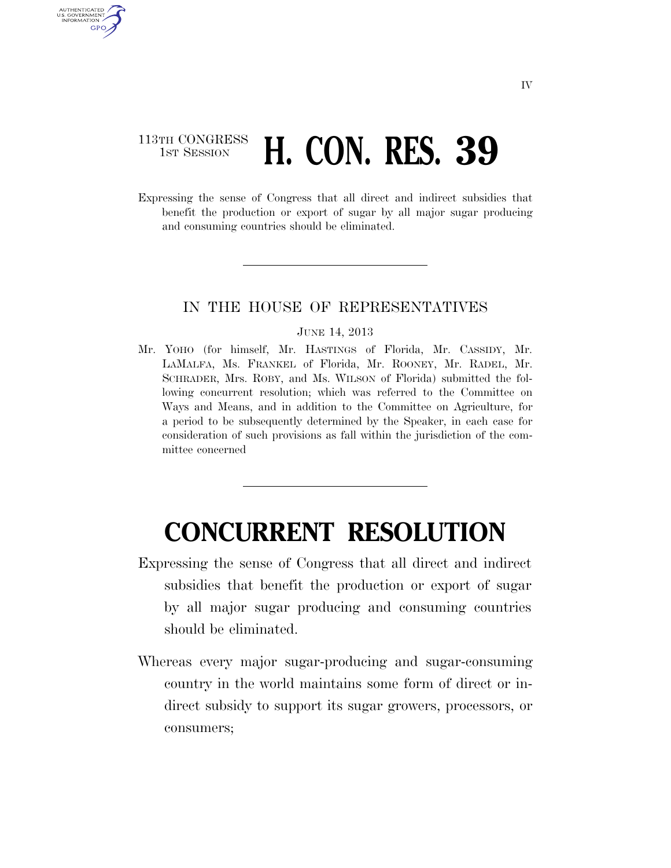## 113TH CONGRESS **1ST SESSION <b>H. CON. RES. 39**

AUTHENTICATED U.S. GOVERNMENT GPO

> Expressing the sense of Congress that all direct and indirect subsidies that benefit the production or export of sugar by all major sugar producing and consuming countries should be eliminated.

## IN THE HOUSE OF REPRESENTATIVES

## JUNE 14, 2013

Mr. YOHO (for himself, Mr. HASTINGS of Florida, Mr. CASSIDY, Mr. LAMALFA, Ms. FRANKEL of Florida, Mr. ROONEY, Mr. RADEL, Mr. SCHRADER, Mrs. ROBY, and Ms. WILSON of Florida) submitted the following concurrent resolution; which was referred to the Committee on Ways and Means, and in addition to the Committee on Agriculture, for a period to be subsequently determined by the Speaker, in each case for consideration of such provisions as fall within the jurisdiction of the committee concerned

## **CONCURRENT RESOLUTION**

- Expressing the sense of Congress that all direct and indirect subsidies that benefit the production or export of sugar by all major sugar producing and consuming countries should be eliminated.
- Whereas every major sugar-producing and sugar-consuming country in the world maintains some form of direct or indirect subsidy to support its sugar growers, processors, or consumers;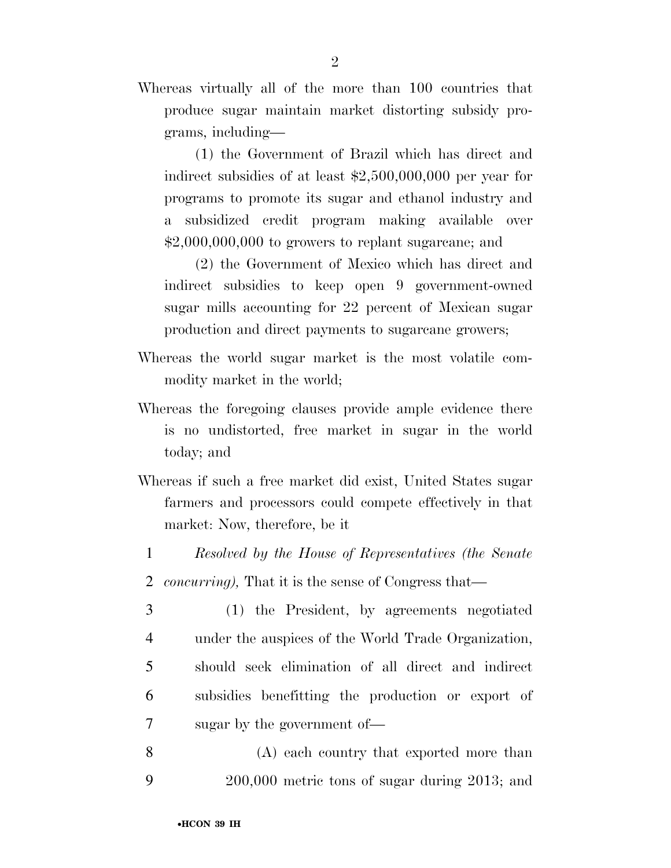Whereas virtually all of the more than 100 countries that produce sugar maintain market distorting subsidy programs, including—

(1) the Government of Brazil which has direct and indirect subsidies of at least \$2,500,000,000 per year for programs to promote its sugar and ethanol industry and a subsidized credit program making available over \$2,000,000,000 to growers to replant sugarcane; and

(2) the Government of Mexico which has direct and indirect subsidies to keep open 9 government-owned sugar mills accounting for 22 percent of Mexican sugar production and direct payments to sugarcane growers;

- Whereas the world sugar market is the most volatile commodity market in the world;
- Whereas the foregoing clauses provide ample evidence there is no undistorted, free market in sugar in the world today; and
- Whereas if such a free market did exist, United States sugar farmers and processors could compete effectively in that market: Now, therefore, be it
	- 1 *Resolved by the House of Representatives (the Senate*  2 *concurring),* That it is the sense of Congress that—
	- 3 (1) the President, by agreements negotiated 4 under the auspices of the World Trade Organization, 5 should seek elimination of all direct and indirect 6 subsidies benefitting the production or export of 7 sugar by the government of—
- 8 (A) each country that exported more than 9 200,000 metric tons of sugar during 2013; and